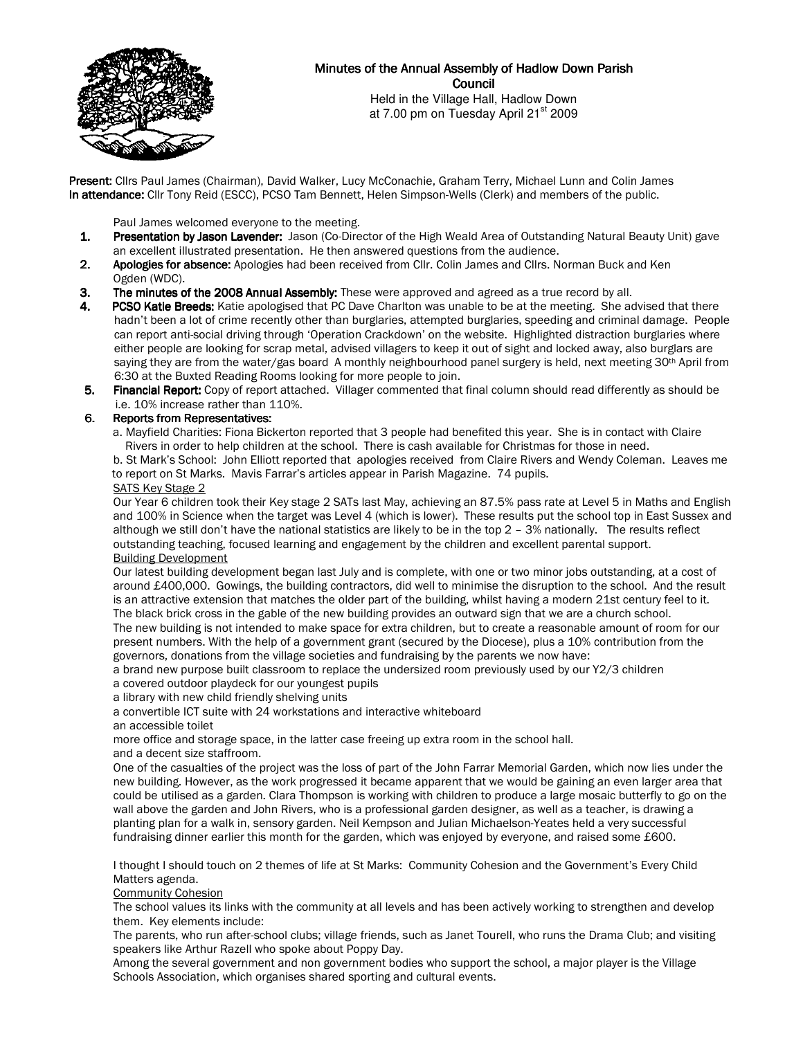

# Minutes of the Annual Assembly of Hadlow Down Parish Council

Held in the Village Hall, Hadlow Down at 7.00 pm on Tuesday April 21<sup>st</sup> 2009

Present: Cllrs Paul James (Chairman), David Walker, Lucy McConachie, Graham Terry, Michael Lunn and Colin James In attendance: Cllr Tony Reid (ESCC), PCSO Tam Bennett, Helen Simpson-Wells (Clerk) and members of the public.

Paul James welcomed everyone to the meeting.<br>**1. Presentation by Jason Lavender:** Jason (Co-Dire

- Presentation by Jason Lavender: Jason (Co-Director of the High Weald Area of Outstanding Natural Beauty Unit) gave an excellent illustrated presentation. He then answered questions from the audience.
- 2. Apologies for absence: Apologies had been received from Cllr. Colin James and Cllrs. Norman Buck and Ken Ogden (WDC).
- 3. The minutes of the 2008 Annual Assembly: These were approved and agreed as a true record by all.
- 4. PCSO Katie Breeds: Katie apologised that PC Dave Charlton was unable to be at the meeting. She advised that there hadn't been a lot of crime recently other than burglaries, attempted burglaries, speeding and criminal damage. People can report anti-social driving through 'Operation Crackdown' on the website. Highlighted distraction burglaries where either people are looking for scrap metal, advised villagers to keep it out of sight and locked away, also burglars are saying they are from the water/gas board A monthly neighbourhood panel surgery is held, next meeting 30<sup>th</sup> April from 6:30 at the Buxted Reading Rooms looking for more people to join.
- 5. Financial Report: Copy of report attached. Villager commented that final column should read differently as should be i.e. 10% increase rather than 110%.

# 6. Reports from Representatives:

 a. Mayfield Charities: Fiona Bickerton reported that 3 people had benefited this year. She is in contact with Claire Rivers in order to help children at the school. There is cash available for Christmas for those in need.

 b. St Mark's School: John Elliott reported that apologies received from Claire Rivers and Wendy Coleman. Leaves me to report on St Marks. Mavis Farrar's articles appear in Parish Magazine. 74 pupils.

## SATS Key Stage 2

Our Year 6 children took their Key stage 2 SATs last May, achieving an 87.5% pass rate at Level 5 in Maths and English and 100% in Science when the target was Level 4 (which is lower). These results put the school top in East Sussex and although we still don't have the national statistics are likely to be in the top 2 – 3% nationally. The results reflect outstanding teaching, focused learning and engagement by the children and excellent parental support. Building Development

Our latest building development began last July and is complete, with one or two minor jobs outstanding, at a cost of around £400,000. Gowings, the building contractors, did well to minimise the disruption to the school. And the result is an attractive extension that matches the older part of the building, whilst having a modern 21st century feel to it. The black brick cross in the gable of the new building provides an outward sign that we are a church school. The new building is not intended to make space for extra children, but to create a reasonable amount of room for our present numbers. With the help of a government grant (secured by the Diocese), plus a 10% contribution from the governors, donations from the village societies and fundraising by the parents we now have:

a brand new purpose built classroom to replace the undersized room previously used by our Y2/3 children

a covered outdoor playdeck for our youngest pupils

a library with new child friendly shelving units

a convertible ICT suite with 24 workstations and interactive whiteboard

an accessible toilet

more office and storage space, in the latter case freeing up extra room in the school hall.

and a decent size staffroom.

One of the casualties of the project was the loss of part of the John Farrar Memorial Garden, which now lies under the new building. However, as the work progressed it became apparent that we would be gaining an even larger area that could be utilised as a garden. Clara Thompson is working with children to produce a large mosaic butterfly to go on the wall above the garden and John Rivers, who is a professional garden designer, as well as a teacher, is drawing a planting plan for a walk in, sensory garden. Neil Kempson and Julian Michaelson-Yeates held a very successful fundraising dinner earlier this month for the garden, which was enjoyed by everyone, and raised some £600.

I thought I should touch on 2 themes of life at St Marks: Community Cohesion and the Government's Every Child Matters agenda.

Community Cohesion

The school values its links with the community at all levels and has been actively working to strengthen and develop them. Key elements include:

The parents, who run after-school clubs; village friends, such as Janet Tourell, who runs the Drama Club; and visiting speakers like Arthur Razell who spoke about Poppy Day.

Among the several government and non government bodies who support the school, a major player is the Village Schools Association, which organises shared sporting and cultural events.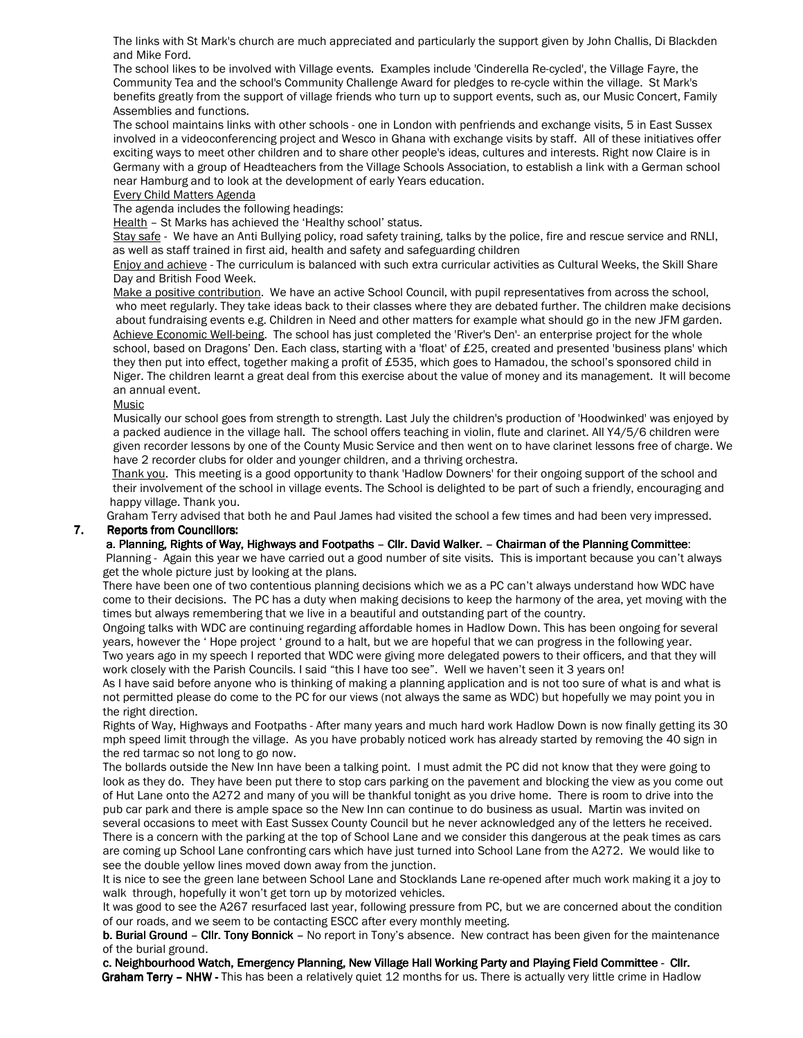The links with St Mark's church are much appreciated and particularly the support given by John Challis, Di Blackden and Mike Ford.

The school likes to be involved with Village events. Examples include 'Cinderella Re-cycled', the Village Fayre, the Community Tea and the school's Community Challenge Award for pledges to re-cycle within the village. St Mark's benefits greatly from the support of village friends who turn up to support events, such as, our Music Concert, Family Assemblies and functions.

The school maintains links with other schools - one in London with penfriends and exchange visits, 5 in East Sussex involved in a videoconferencing project and Wesco in Ghana with exchange visits by staff. All of these initiatives offer exciting ways to meet other children and to share other people's ideas, cultures and interests. Right now Claire is in Germany with a group of Headteachers from the Village Schools Association, to establish a link with a German school near Hamburg and to look at the development of early Years education.

Every Child Matters Agenda

The agenda includes the following headings:

Health – St Marks has achieved the 'Healthy school' status.

Stay safe - We have an Anti Bullying policy, road safety training, talks by the police, fire and rescue service and RNLI, as well as staff trained in first aid, health and safety and safeguarding children

Enjoy and achieve - The curriculum is balanced with such extra curricular activities as Cultural Weeks, the Skill Share Day and British Food Week.

 Make a positive contribution. We have an active School Council, with pupil representatives from across the school, who meet regularly. They take ideas back to their classes where they are debated further. The children make decisions about fundraising events e.g. Children in Need and other matters for example what should go in the new JFM garden. Achieve Economic Well-being. The school has just completed the 'River's Den'- an enterprise project for the whole school, based on Dragons' Den. Each class, starting with a 'float' of £25, created and presented 'business plans' which they then put into effect, together making a profit of £535, which goes to Hamadou, the school's sponsored child in Niger. The children learnt a great deal from this exercise about the value of money and its management. It will become an annual event.

## Music

Musically our school goes from strength to strength. Last July the children's production of 'Hoodwinked' was enjoyed by a packed audience in the village hall. The school offers teaching in violin, flute and clarinet. All Y4/5/6 children were given recorder lessons by one of the County Music Service and then went on to have clarinet lessons free of charge. We have 2 recorder clubs for older and younger children, and a thriving orchestra.

 Thank you. This meeting is a good opportunity to thank 'Hadlow Downers' for their ongoing support of the school and their involvement of the school in village events. The School is delighted to be part of such a friendly, encouraging and happy village. Thank you.

Graham Terry advised that both he and Paul James had visited the school a few times and had been very impressed. 7. Reports from Councillors:

#### a. Planning, Rights of Way, Highways and Footpaths – Cllr. David Walker. – Chairman of the Planning Committee:

 Planning - Again this year we have carried out a good number of site visits. This is important because you can't always get the whole picture just by looking at the plans.

 There have been one of two contentious planning decisions which we as a PC can't always understand how WDC have come to their decisions. The PC has a duty when making decisions to keep the harmony of the area, yet moving with the times but always remembering that we live in a beautiful and outstanding part of the country.

 Ongoing talks with WDC are continuing regarding affordable homes in Hadlow Down. This has been ongoing for several years, however the ' Hope project ' ground to a halt, but we are hopeful that we can progress in the following year. Two years ago in my speech I reported that WDC were giving more delegated powers to their officers, and that they will work closely with the Parish Councils. I said "this I have too see". Well we haven't seen it 3 years on!

 As I have said before anyone who is thinking of making a planning application and is not too sure of what is and what is not permitted please do come to the PC for our views (not always the same as WDC) but hopefully we may point you in the right direction.

 Rights of Way, Highways and Footpaths - After many years and much hard work Hadlow Down is now finally getting its 30 mph speed limit through the village. As you have probably noticed work has already started by removing the 40 sign in the red tarmac so not long to go now.

 The bollards outside the New Inn have been a talking point. I must admit the PC did not know that they were going to look as they do. They have been put there to stop cars parking on the pavement and blocking the view as you come out of Hut Lane onto the A272 and many of you will be thankful tonight as you drive home. There is room to drive into the pub car park and there is ample space so the New Inn can continue to do business as usual. Martin was invited on several occasions to meet with East Sussex County Council but he never acknowledged any of the letters he received. There is a concern with the parking at the top of School Lane and we consider this dangerous at the peak times as cars are coming up School Lane confronting cars which have just turned into School Lane from the A272. We would like to see the double yellow lines moved down away from the junction.

 It is nice to see the green lane between School Lane and Stocklands Lane re-opened after much work making it a joy to walk through, hopefully it won't get torn up by motorized vehicles.

 It was good to see the A267 resurfaced last year, following pressure from PC, but we are concerned about the condition of our roads, and we seem to be contacting ESCC after every monthly meeting.

b. Burial Ground - Cllr. Tony Bonnick - No report in Tony's absence. New contract has been given for the maintenance of the burial ground.

c. Neighbourhood Watch, Emergency Planning, New Village Hall Working Party and Playing Field Committee - Cllr. Graham Terry - NHW - This has been a relatively quiet 12 months for us. There is actually very little crime in Hadlow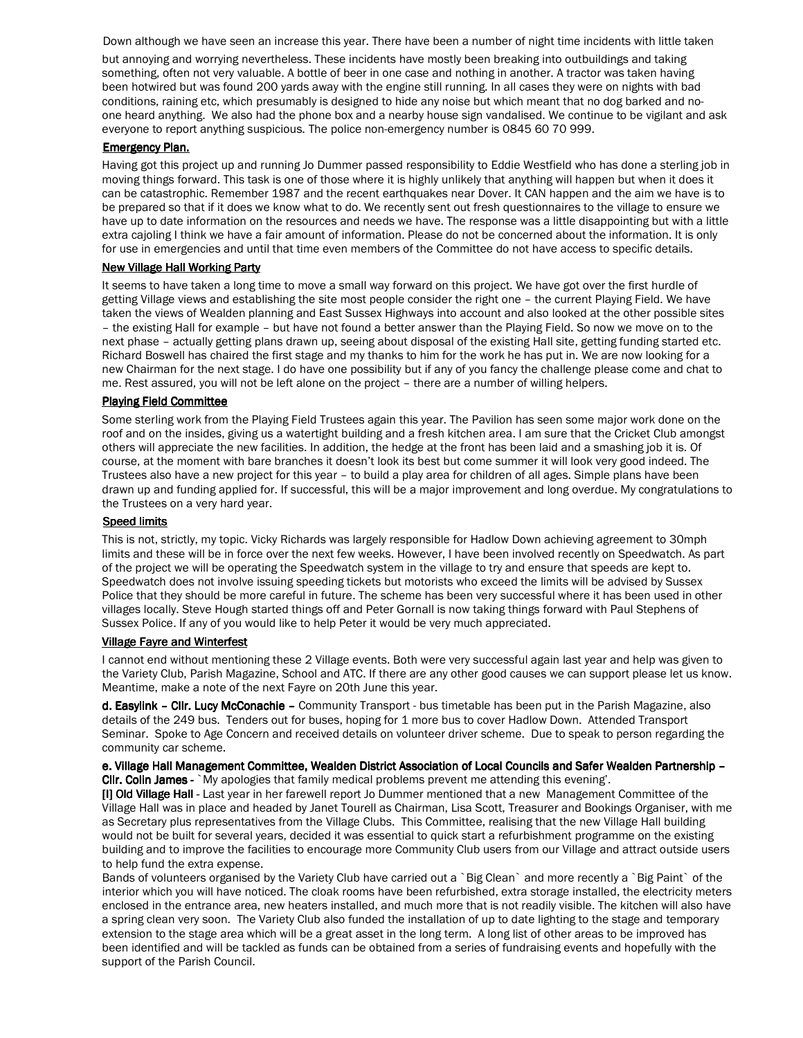Down although we have seen an increase this year. There have been a number of night time incidents with little taken

but annoying and worrying nevertheless. These incidents have mostly been breaking into outbuildings and taking something, often not very valuable. A bottle of beer in one case and nothing in another. A tractor was taken having been hotwired but was found 200 yards away with the engine still running. In all cases they were on nights with bad conditions, raining etc, which presumably is designed to hide any noise but which meant that no dog barked and noone heard anything. We also had the phone box and a nearby house sign vandalised. We continue to be vigilant and ask everyone to report anything suspicious. The police non-emergency number is 0845 60 70 999.

## **Emergency Plan.**

Having got this project up and running Jo Dummer passed responsibility to Eddie Westfield who has done a sterling job in moving things forward. This task is one of those where it is highly unlikely that anything will happen but when it does it can be catastrophic. Remember 1987 and the recent earthquakes near Dover. It CAN happen and the aim we have is to be prepared so that if it does we know what to do. We recently sent out fresh questionnaires to the village to ensure we have up to date information on the resources and needs we have. The response was a little disappointing but with a little extra cajoling I think we have a fair amount of information. Please do not be concerned about the information. It is only for use in emergencies and until that time even members of the Committee do not have access to specific details.

## New Village Hall Working Party

It seems to have taken a long time to move a small way forward on this project. We have got over the first hurdle of getting Village views and establishing the site most people consider the right one – the current Playing Field. We have taken the views of Wealden planning and East Sussex Highways into account and also looked at the other possible sites – the existing Hall for example – but have not found a better answer than the Playing Field. So now we move on to the next phase – actually getting plans drawn up, seeing about disposal of the existing Hall site, getting funding started etc. Richard Boswell has chaired the first stage and my thanks to him for the work he has put in. We are now looking for a new Chairman for the next stage. I do have one possibility but if any of you fancy the challenge please come and chat to me. Rest assured, you will not be left alone on the project – there are a number of willing helpers.

## Playing Field Committee

Some sterling work from the Playing Field Trustees again this year. The Pavilion has seen some major work done on the roof and on the insides, giving us a watertight building and a fresh kitchen area. I am sure that the Cricket Club amongst others will appreciate the new facilities. In addition, the hedge at the front has been laid and a smashing job it is. Of course, at the moment with bare branches it doesn't look its best but come summer it will look very good indeed. The Trustees also have a new project for this year – to build a play area for children of all ages. Simple plans have been drawn up and funding applied for. If successful, this will be a major improvement and long overdue. My congratulations to the Trustees on a very hard year.

### **Speed limits**

This is not, strictly, my topic. Vicky Richards was largely responsible for Hadlow Down achieving agreement to 30mph limits and these will be in force over the next few weeks. However, I have been involved recently on Speedwatch. As part of the project we will be operating the Speedwatch system in the village to try and ensure that speeds are kept to. Speedwatch does not involve issuing speeding tickets but motorists who exceed the limits will be advised by Sussex Police that they should be more careful in future. The scheme has been very successful where it has been used in other villages locally. Steve Hough started things off and Peter Gornall is now taking things forward with Paul Stephens of Sussex Police. If any of you would like to help Peter it would be very much appreciated.

## Village Fayre and Winterfest

I cannot end without mentioning these 2 Village events. Both were very successful again last year and help was given to the Variety Club, Parish Magazine, School and ATC. If there are any other good causes we can support please let us know. Meantime, make a note of the next Fayre on 20th June this year.

d. Easylink - Cllr. Lucy McConachie - Community Transport - bus timetable has been put in the Parish Magazine, also details of the 249 bus. Tenders out for buses, hoping for 1 more bus to cover Hadlow Down. Attended Transport Seminar. Spoke to Age Concern and received details on volunteer driver scheme. Due to speak to person regarding the community car scheme.

e. Village Hall Management Committee, Wealden District Association of Local Councils and Safer Wealden Partnership – – Cllr. Colin James - `My apologies that family medical problems prevent me attending this evening'.

[I] Old Village Hall - Last year in her farewell report Jo Dummer mentioned that a new Management Committee of the Village Hall was in place and headed by Janet Tourell as Chairman, Lisa Scott, Treasurer and Bookings Organiser, with me as Secretary plus representatives from the Village Clubs. This Committee, realising that the new Village Hall building would not be built for several years, decided it was essential to quick start a refurbishment programme on the existing building and to improve the facilities to encourage more Community Club users from our Village and attract outside users to help fund the extra expense.

Bands of volunteers organised by the Variety Club have carried out a `Big Clean` and more recently a `Big Paint` of the interior which you will have noticed. The cloak rooms have been refurbished, extra storage installed, the electricity meters enclosed in the entrance area, new heaters installed, and much more that is not readily visible. The kitchen will also have a spring clean very soon. The Variety Club also funded the installation of up to date lighting to the stage and temporary extension to the stage area which will be a great asset in the long term. A long list of other areas to be improved has been identified and will be tackled as funds can be obtained from a series of fundraising events and hopefully with the support of the Parish Council.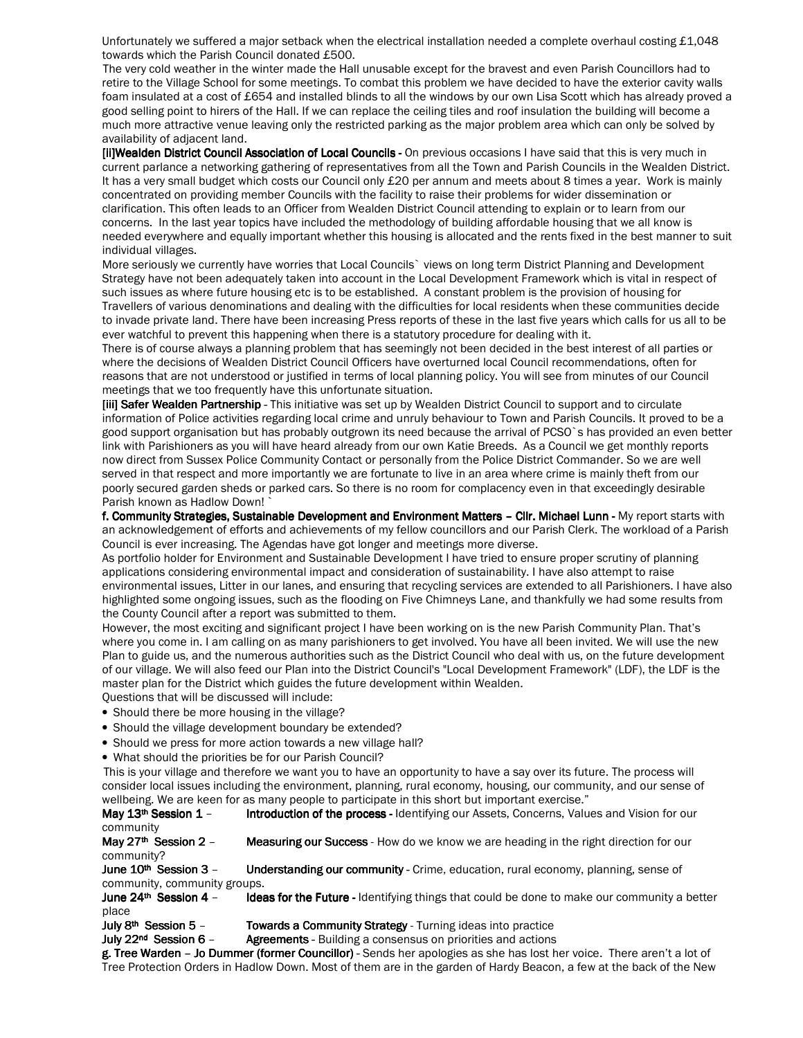Unfortunately we suffered a major setback when the electrical installation needed a complete overhaul costing £1,048 towards which the Parish Council donated £500.

 The very cold weather in the winter made the Hall unusable except for the bravest and even Parish Councillors had to retire to the Village School for some meetings. To combat this problem we have decided to have the exterior cavity walls foam insulated at a cost of £654 and installed blinds to all the windows by our own Lisa Scott which has already proved a good selling point to hirers of the Hall. If we can replace the ceiling tiles and roof insulation the building will become a much more attractive venue leaving only the restricted parking as the major problem area which can only be solved by availability of adjacent land.

[ii]Wealden District Council Association of Local Councils - On previous occasions I have said that this is very much in current parlance a networking gathering of representatives from all the Town and Parish Councils in the Wealden District. It has a very small budget which costs our Council only £20 per annum and meets about 8 times a year. Work is mainly concentrated on providing member Councils with the facility to raise their problems for wider dissemination or clarification. This often leads to an Officer from Wealden District Council attending to explain or to learn from our concerns. In the last year topics have included the methodology of building affordable housing that we all know is needed everywhere and equally important whether this housing is allocated and the rents fixed in the best manner to suit individual villages.

More seriously we currently have worries that Local Councils` views on long term District Planning and Development Strategy have not been adequately taken into account in the Local Development Framework which is vital in respect of such issues as where future housing etc is to be established. A constant problem is the provision of housing for Travellers of various denominations and dealing with the difficulties for local residents when these communities decide to invade private land. There have been increasing Press reports of these in the last five years which calls for us all to be ever watchful to prevent this happening when there is a statutory procedure for dealing with it.

There is of course always a planning problem that has seemingly not been decided in the best interest of all parties or where the decisions of Wealden District Council Officers have overturned local Council recommendations, often for reasons that are not understood or justified in terms of local planning policy. You will see from minutes of our Council meetings that we too frequently have this unfortunate situation.

[iii] Safer Wealden Partnership - This initiative was set up by Wealden District Council to support and to circulate information of Police activities regarding local crime and unruly behaviour to Town and Parish Councils. It proved to be a good support organisation but has probably outgrown its need because the arrival of PCSO`s has provided an even better link with Parishioners as you will have heard already from our own Katie Breeds. As a Council we get monthly reports now direct from Sussex Police Community Contact or personally from the Police District Commander. So we are well served in that respect and more importantly we are fortunate to live in an area where crime is mainly theft from our poorly secured garden sheds or parked cars. So there is no room for complacency even in that exceedingly desirable Parish known as Hadlow Down! `

f. Community Strategies, Sustainable Development and Environment Matters - Cllr. Michael Lunn - My report starts with an acknowledgement of efforts and achievements of my fellow councillors and our Parish Clerk. The workload of a Parish Council is ever increasing. The Agendas have got longer and meetings more diverse.

As portfolio holder for Environment and Sustainable Development I have tried to ensure proper scrutiny of planning applications considering environmental impact and consideration of sustainability. I have also attempt to raise environmental issues, Litter in our lanes, and ensuring that recycling services are extended to all Parishioners. I have also highlighted some ongoing issues, such as the flooding on Five Chimneys Lane, and thankfully we had some results from the County Council after a report was submitted to them.

However, the most exciting and significant project I have been working on is the new Parish Community Plan. That's where you come in. I am calling on as many parishioners to get involved. You have all been invited. We will use the new Plan to guide us, and the numerous authorities such as the District Council who deal with us, on the future development of our village. We will also feed our Plan into the District Council's "Local Development Framework" (LDF), the LDF is the master plan for the District which guides the future development within Wealden. Questions that will be discussed will include:

- Should there be more housing in the village?
- Should the village development boundary be extended?
- Should we press for more action towards a new village hall?
- What should the priorities be for our Parish Council?

 This is your village and therefore we want you to have an opportunity to have a say over its future. The process will consider local issues including the environment, planning, rural economy, housing, our community, and our sense of wellbeing. We are keen for as many people to participate in this short but important exercise."

May  $13<sup>th</sup>$  Session  $1$  - Introduction of the process - Identifying our Assets, Concerns, Values and Vision for our community

May 27<sup>th</sup> Session 2 - Measuring our Success - How do we know we are heading in the right direction for our community?

June 10<sup>th</sup> Session 3 - Understanding our community - Crime, education, rural economy, planning, sense of community, community groups.

**June 24<sup>th</sup> Session 4 – Ideas for the Future** - Identifying things that could be done to make our community a better place

**July 8th Session 5 – Towards a Community Strategy - Turning ideas into practice** 

**July 22<sup>nd</sup>** Session 6 – **Agreements** - Building a consensus on priorities and actions

g. Tree Warden – Jo Dummer (former Councillor) - Sends her apologies as she has lost her voice. There aren't a lot of Tree Protection Orders in Hadlow Down. Most of them are in the garden of Hardy Beacon, a few at the back of the New